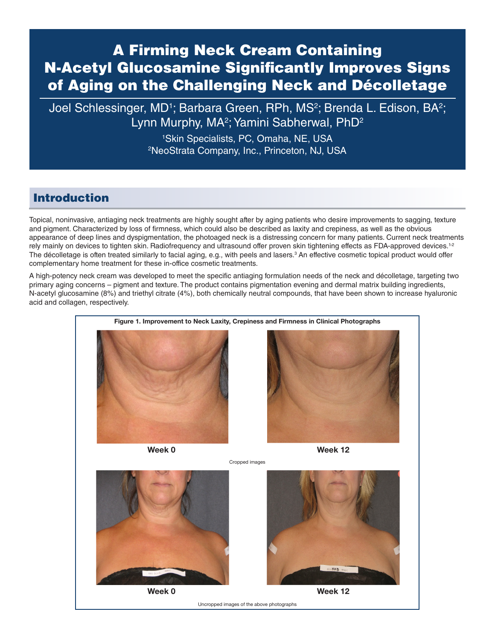# A Firming Neck Cream Containing N-Acetyl Glucosamine Significantly Improves Signs of Aging on the Challenging Neck and Décolletage

Joel Schlessinger, MD<sup>1</sup>; Barbara Green, RPh, MS<sup>2</sup>; Brenda L. Edison, BA<sup>2</sup>; Lynn Murphy, MA<sup>2</sup>; Yamini Sabherwal, PhD<sup>2</sup>

> 1 Skin Specialists, PC, Omaha, NE, USA 2 NeoStrata Company, Inc., Princeton, NJ, USA

### Introduction

Topical, noninvasive, antiaging neck treatments are highly sought after by aging patients who desire improvements to sagging, texture and pigment. Characterized by loss of firmness, which could also be described as laxity and crepiness, as well as the obvious appearance of deep lines and dyspigmentation, the photoaged neck is a distressing concern for many patients. Current neck treatments rely mainly on devices to tighten skin. Radiofrequency and ultrasound offer proven skin tightening effects as FDA-approved devices.<sup>1-2</sup> The décolletage is often treated similarly to facial aging, e.g., with peels and lasers.<sup>3</sup> An effective cosmetic topical product would offer complementary home treatment for these in-office cosmetic treatments.

A high-potency neck cream was developed to meet the specific antiaging formulation needs of the neck and décolletage, targeting two primary aging concerns – pigment and texture. The product contains pigmentation evening and dermal matrix building ingredients, N-acetyl glucosamine (8%) and triethyl citrate (4%), both chemically neutral compounds, that have been shown to increase hyaluronic acid and collagen, respectively.





Week 0 Week 12

Uncropped images of the above photographs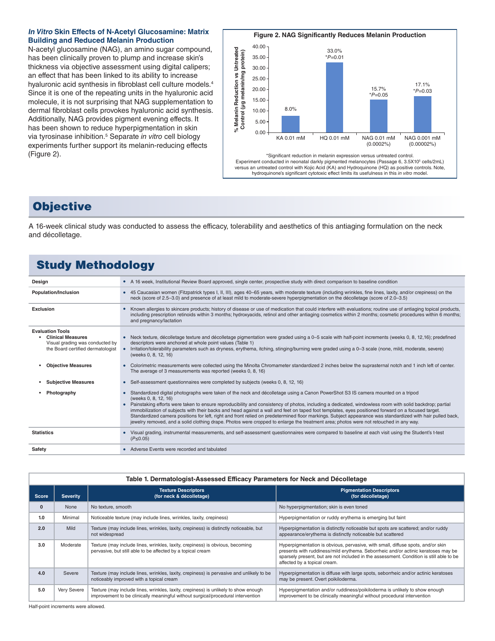#### **In Vitro Skin Effects of N-Acetyl Glucosamine: Matrix Building and Reduced Melanin Production**

N-acetyl glucosamine (NAG), an amino sugar compound, has been clinically proven to plump and increase skin's thickness via objective assessment using digital calipers; an effect that has been linked to its ability to increase hyaluronic acid synthesis in fibroblast cell culture models.4 Since it is one of the repeating units in the hyaluronic acid molecule, it is not surprising that NAG supplementation to dermal fibroblast cells provokes hyaluronic acid synthesis. Additionally, NAG provides pigment evening effects. It has been shown to reduce hyperpigmentation in skin via tyrosinase inhibition.5 Separate *in vitro* cell biology experiments further support its melanin-reducing effects (Figure 2).



### **Objective**

A 16-week clinical study was conducted to assess the efficacy, tolerability and aesthetics of this antiaging formulation on the neck and décolletage.

## Study Methodology

| Design                                                                                                                      | • A 16 week, Institutional Review Board approved, single center, prospective study with direct comparison to baseline condition                                                                                                                                                                                                                                                                                                                                                                                                                                                                                                                                                                                                                                                               |
|-----------------------------------------------------------------------------------------------------------------------------|-----------------------------------------------------------------------------------------------------------------------------------------------------------------------------------------------------------------------------------------------------------------------------------------------------------------------------------------------------------------------------------------------------------------------------------------------------------------------------------------------------------------------------------------------------------------------------------------------------------------------------------------------------------------------------------------------------------------------------------------------------------------------------------------------|
| Population/Inclusion                                                                                                        | • 45 Caucasian women (Fitzpatrick types I, II, III), ages 40–65 years, with moderate texture (including wrinkles, fine lines, laxity, and/or crepiness) on the<br>neck (score of 2.5-3.0) and presence of at least mild to moderate-severe hyperpigmentation on the décolletage (score of 2.0-3.5)                                                                                                                                                                                                                                                                                                                                                                                                                                                                                            |
| Exclusion                                                                                                                   | Known allergies to skincare products; history of disease or use of medication that could interfere with evaluations; routine use of antiaging topical products,<br>including prescription retinoids within 3 months; hydroxyacids, retinol and other antiaging cosmetics within 2 months; cosmetic procedures within 6 months;<br>and pregnancy/lactation                                                                                                                                                                                                                                                                                                                                                                                                                                     |
| <b>Evaluation Tools</b><br><b>Clinical Measures</b><br>Visual grading was conducted by<br>the Board certified dermatologist | Neck texture, décolletage texture and décolletage pigmentation were graded using a 0–5 scale with half-point increments (weeks 0, 8, 12,16); predefined<br>descriptors were anchored at whole point values (Table 1)<br>Irritation/tolerability parameters such as dryness, erythema, itching, stinging/burning were graded using a 0-3 scale (none, mild, moderate, severe)<br>$\bullet$<br>(weeks 0, 8, 12, 16)                                                                                                                                                                                                                                                                                                                                                                             |
| <b>Objective Measures</b>                                                                                                   | Colorimetric measurements were collected using the Minolta Chromameter standardized 2 inches below the suprasternal notch and 1 inch left of center.<br>The average of 3 measurements was reported (weeks 0, 8, 16)                                                                                                                                                                                                                                                                                                                                                                                                                                                                                                                                                                           |
| <b>Subjective Measures</b>                                                                                                  | Self-assessment questionnaires were completed by subjects (weeks 0, 8, 12, 16)                                                                                                                                                                                                                                                                                                                                                                                                                                                                                                                                                                                                                                                                                                                |
| Photography                                                                                                                 | Standardized digital photographs were taken of the neck and décolletage using a Canon PowerShot S3 IS camera mounted on a tripod<br>(weeks 0, 8, 12, 16)<br>Painstaking efforts were taken to ensure reproducibility and consistency of photos, including a dedicated, windowless room with solid backdrop; partial<br>$\bullet$<br>immobilization of subjects with their backs and head against a wall and feet on taped foot templates, eyes positioned forward on a focused target.<br>Standardized camera positions for left, right and front relied on predetermined floor markings. Subject appearance was standardized with hair pulled back,<br>jewelry removed, and a solid clothing drape. Photos were cropped to enlarge the treatment area; photos were not retouched in any way. |
| <b>Statistics</b>                                                                                                           | Visual grading, instrumental measurements, and self-assessment questionnaires were compared to baseline at each visit using the Student's t-test<br>$(P \le 0.05)$                                                                                                                                                                                                                                                                                                                                                                                                                                                                                                                                                                                                                            |
| Safety                                                                                                                      | • Adverse Events were recorded and tabulated                                                                                                                                                                                                                                                                                                                                                                                                                                                                                                                                                                                                                                                                                                                                                  |
|                                                                                                                             |                                                                                                                                                                                                                                                                                                                                                                                                                                                                                                                                                                                                                                                                                                                                                                                               |

| Table 1. Dermatologist-Assessed Efficacy Parameters for Neck and Décolletage |                 |                                                                                                                                                                         |                                                                                                                                                                                                                                                                                                 |  |  |  |
|------------------------------------------------------------------------------|-----------------|-------------------------------------------------------------------------------------------------------------------------------------------------------------------------|-------------------------------------------------------------------------------------------------------------------------------------------------------------------------------------------------------------------------------------------------------------------------------------------------|--|--|--|
| <b>Score</b>                                                                 | <b>Severity</b> | <b>Texture Descriptors</b><br>(for neck & décolletage)                                                                                                                  | <b>Pigmentation Descriptors</b><br>(for décolletage)                                                                                                                                                                                                                                            |  |  |  |
| $\mathbf{0}$                                                                 | None            | No texture, smooth                                                                                                                                                      | No hyperpigmentation; skin is even toned                                                                                                                                                                                                                                                        |  |  |  |
| 1.0                                                                          | Minimal         | Noticeable texture (may include lines, wrinkles, laxity, crepiness)                                                                                                     | Hyperpigmentation or ruddy erythema is emerging but faint                                                                                                                                                                                                                                       |  |  |  |
| 2.0                                                                          | <b>Mild</b>     | Texture (may include lines, wrinkles, laxity, crepiness) is distinctly noticeable, but<br>not widespread                                                                | Hyperpigmentation is distinctly noticeable but spots are scattered; and/or ruddy<br>appearance/erythema is distinctly noticeable but scattered                                                                                                                                                  |  |  |  |
| 3.0                                                                          | Moderate        | Texture (may include lines, wrinkles, laxity, crepiness) is obvious, becoming<br>pervasive, but still able to be affected by a topical cream                            | Hyperpigmentation is obvious, pervasive, with small, diffuse spots, and/or skin<br>presents with ruddiness/mild erythema. Seborrheic and/or actinic keratoses may be<br>sparsely present, but are not included in the assessment. Condition is still able to be<br>affected by a topical cream. |  |  |  |
| 4.0                                                                          | Severe          | Texture (may include lines, wrinkles, laxity, crepiness) is pervasive and unlikely to be<br>noticeably improved with a topical cream                                    | Hyperpigmentation is diffuse with large spots, seborrheic and/or actinic keratoses<br>may be present. Overt poikiloderma.                                                                                                                                                                       |  |  |  |
| 5.0                                                                          | Very Severe     | Texture (may include lines, wrinkles, laxity, crepiness) is unlikely to show enough<br>improvement to be clinically meaningful without surgical/procedural intervention | Hyperpigmentation and/or ruddiness/poikiloderma is unlikely to show enough<br>improvement to be clinically meaningful without procedural intervention                                                                                                                                           |  |  |  |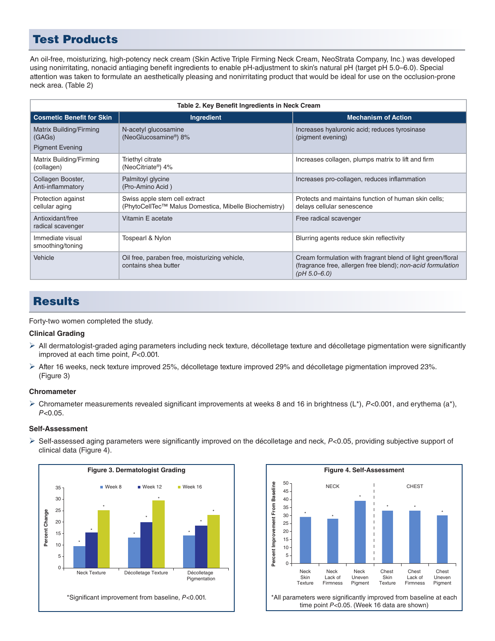### Test Products

An oil-free, moisturizing, high-potency neck cream (Skin Active Triple Firming Neck Cream, NeoStrata Company, Inc.) was developed using nonirritating, nonacid antiaging benefit ingredients to enable pH-adjustment to skin's natural pH (target pH 5.0–6.0). Special attention was taken to formulate an aesthetically pleasing and nonirritating product that would be ideal for use on the occlusion-prone neck area. (Table 2)

| Table 2. Key Benefit Ingredients in Neck Cream              |                                                                                        |                                                                                                                                                |  |  |  |
|-------------------------------------------------------------|----------------------------------------------------------------------------------------|------------------------------------------------------------------------------------------------------------------------------------------------|--|--|--|
| <b>Cosmetic Benefit for Skin</b>                            | Ingredient                                                                             | <b>Mechanism of Action</b>                                                                                                                     |  |  |  |
| Matrix Building/Firming<br>(GAGs)<br><b>Pigment Evening</b> | N-acetyl glucosamine<br>(NeoGlucosamine <sup>®</sup> ) 8%                              | Increases hyaluronic acid; reduces tyrosinase<br>(pigment evening)                                                                             |  |  |  |
| Matrix Building/Firming<br>(collagen)                       | Triethyl citrate<br>(NeoCitriate <sup>®</sup> ) 4%                                     | Increases collagen, plumps matrix to lift and firm                                                                                             |  |  |  |
| Collagen Booster,<br>Anti-inflammatory                      | Palmitoyl glycine<br>(Pro-Amino Acid)                                                  | Increases pro-collagen, reduces inflammation                                                                                                   |  |  |  |
| Protection against<br>cellular aging                        | Swiss apple stem cell extract<br>(PhytoCellTec™ Malus Domestica, Mibelle Biochemistry) | Protects and maintains function of human skin cells:<br>delays cellular senescence                                                             |  |  |  |
| Antioxidant/free<br>radical scavenger                       | Vitamin E acetate                                                                      | Free radical scavenger                                                                                                                         |  |  |  |
| Immediate visual<br>smoothing/toning                        | Tospearl & Nylon                                                                       | Blurring agents reduce skin reflectivity                                                                                                       |  |  |  |
| Vehicle                                                     | Oil free, paraben free, moisturizing vehicle,<br>contains shea butter                  | Cream formulation with fragrant blend of light green/floral<br>(fragrance free, allergen free blend); non-acid formulation<br>$(pH 5.0 - 6.0)$ |  |  |  |

### **Results**

Forty-two women completed the study.

#### **Clinical Grading**

- $\triangleright$  All dermatologist-graded aging parameters including neck texture, décolletage texture and décolletage pigmentation were significantly improved at each time point, *P*<0.001.
- $\triangleright$  After 16 weeks, neck texture improved 25%, décolletage texture improved 29% and décolletage pigmentation improved 23%. (Figure 3)

#### **Chromameter**

Ø Chromameter measurements revealed significant improvements at weeks 8 and 16 in brightness (L\*), *P*<0.001, and erythema (a\*), *P*<0.05.

#### **Self-Assessment**

Ø Self-assessed aging parameters were significantly improved on the décolletage and neck, *P*<0.05, providing subjective support of clinical data (Figure 4).